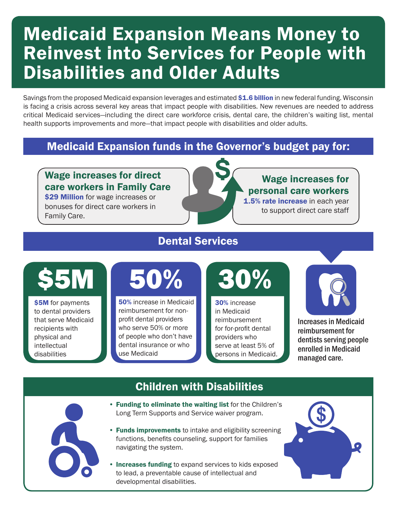### Medicaid Expansion Means Money to Reinvest into Services for People with Disabilities and Older Adults

Savings from the proposed Medicaid expansion leverages and estimated \$1.6 billion in new federal funding. Wisconsin is facing a crisis across several key areas that impact people with disabilities. New revenues are needed to address critical Medicaid services—including the direct care workforce crisis, dental care, the children's waiting list, mental health supports improvements and more—that impact people with disabilities and older adults.

### Medicaid Expansion funds in the Governor's budget pay for:

### Wage increases for direct care workers in Family Care

**\$29 Million** for wage increases or bonuses for direct care workers in Family Care.

#### Wage increases for personal care workers 1.5% rate increase in each year

to support direct care staff

### Dental Services

# \$5M

\$5M for payments to dental providers that serve Medicaid recipients with physical and intellectual disabilities

### 50%

50% increase in Medicaid reimbursement for nonprofit dental providers who serve 50% or more of people who don't have dental insurance or who use Medicaid

## 30%

30% increase in Medicaid reimbursement for for-profit dental providers who serve at least 5% of persons in Medicaid.



Increases in Medicaid reimbursement for dentists serving people enrolled in Medicaid managed care.



#### Children with Disabilities

- Funding to eliminate the waiting list for the Children's Long Term Supports and Service waiver program.
- Funds improvements to intake and eligibility screening functions, benefits counseling, support for families navigating the system.
- Increases funding to expand services to kids exposed to lead, a preventable cause of intellectual and developmental disabilities.